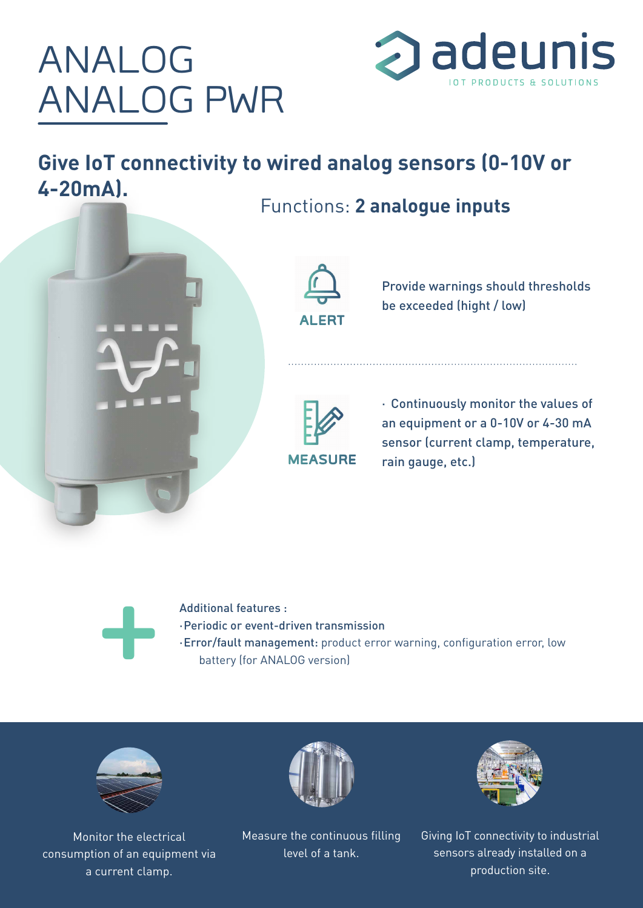## ANALOG ANALOG PWR



**Give IoT connectivity to wired analog sensors (0-10V or 4-20mA).** Functions: **2 analogue inputs**





Provide warnings should thresholds be exceeded (hight / low)



· Continuously monitor the values of an equipment or a 0-10V or 4-30 mA sensor (current clamp, temperature, rain gauge, etc.)

Additional features :<br>Periodic or event-dictional features :<br>Error/fault manage<br>battery (for ANAI ·Periodic or event-driven transmission ·Error/fault management: product error warning, configuration error, low battery (for ANALOG version)



Monitor the electrical consumption of an equipment via a current clamp.



Measure the continuous filling level of a tank.



Giving IoT connectivity to industrial sensors already installed on a production site.